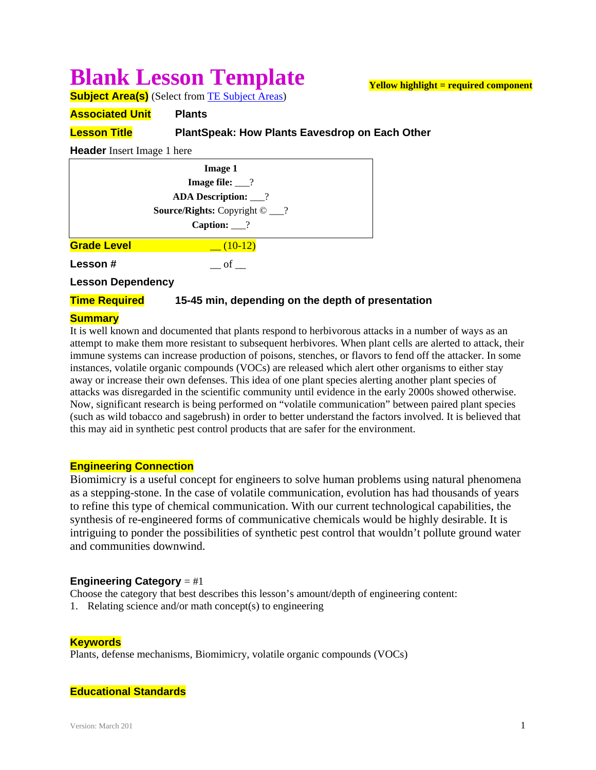# **Blank Lesson Template**

**Yellow highlight = required component**

**Subject Area(s)** (Select from TE Subject Areas)

**Associated Unit Plants**

# **Lesson Title PlantSpeak: How Plants Eavesdrop on Each Other**

**Header** Insert Image 1 here

| <b>Image 1</b>                              |  |
|---------------------------------------------|--|
| Image file: $\frac{?}{?}$                   |  |
| <b>ADA Description:</b> ___?                |  |
| <b>Source/Rights:</b> Copyright $\odot$ __? |  |
| Caption: $\frac{?}{?}$                      |  |
| <b>Grade Level</b><br>$-$ (10-12)           |  |
| Lesson#<br>$\circ$ of                       |  |
| Lagosa Danondonou                           |  |

**Lesson Dependency** 

## **Time Required** 15-45 min, depending on the depth of presentation

#### **Summary**

It is well known and documented that plants respond to herbivorous attacks in a number of ways as an attempt to make them more resistant to subsequent herbivores. When plant cells are alerted to attack, their immune systems can increase production of poisons, stenches, or flavors to fend off the attacker. In some instances, volatile organic compounds (VOCs) are released which alert other organisms to either stay away or increase their own defenses. This idea of one plant species alerting another plant species of attacks was disregarded in the scientific community until evidence in the early 2000s showed otherwise. Now, significant research is being performed on "volatile communication" between paired plant species (such as wild tobacco and sagebrush) in order to better understand the factors involved. It is believed that this may aid in synthetic pest control products that are safer for the environment.

## **Engineering Connection**

Biomimicry is a useful concept for engineers to solve human problems using natural phenomena as a stepping-stone. In the case of volatile communication, evolution has had thousands of years to refine this type of chemical communication. With our current technological capabilities, the synthesis of re-engineered forms of communicative chemicals would be highly desirable. It is intriguing to ponder the possibilities of synthetic pest control that wouldn't pollute ground water and communities downwind.

## **Engineering Category** = #1

Choose the category that best describes this lesson's amount/depth of engineering content:

1. Relating science and/or math concept(s) to engineering

# **Keywords**

Plants, defense mechanisms, Biomimicry, volatile organic compounds (VOCs)

## **Educational Standards**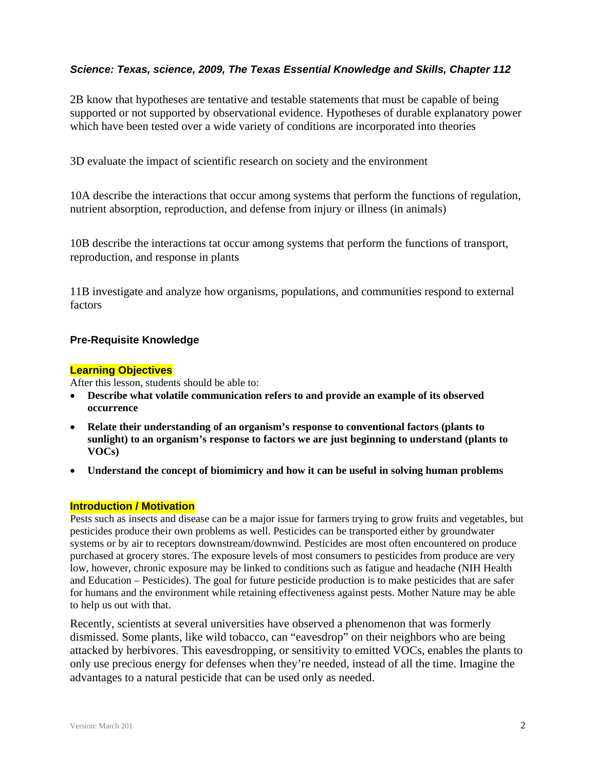# *Science: Texas, science, 2009, The Texas Essential Knowledge and Skills, Chapter 112*

2B know that hypotheses are tentative and testable statements that must be capable of being supported or not supported by observational evidence. Hypotheses of durable explanatory power which have been tested over a wide variety of conditions are incorporated into theories

3D evaluate the impact of scientific research on society and the environment

10A describe the interactions that occur among systems that perform the functions of regulation, nutrient absorption, reproduction, and defense from injury or illness (in animals)

10B describe the interactions tat occur among systems that perform the functions of transport, reproduction, and response in plants

11B investigate and analyze how organisms, populations, and communities respond to external factors

# **Pre-Requisite Knowledge**

#### **Learning Objectives**

After this lesson, students should be able to:

- **Describe what volatile communication refers to and provide an example of its observed occurrence**
- **Relate their understanding of an organism's response to conventional factors (plants to sunlight) to an organism's response to factors we are just beginning to understand (plants to VOCs)**
- **Understand the concept of biomimicry and how it can be useful in solving human problems**

#### **Introduction / Motivation**

Pests such as insects and disease can be a major issue for farmers trying to grow fruits and vegetables, but pesticides produce their own problems as well. Pesticides can be transported either by groundwater systems or by air to receptors downstream/downwind. Pesticides are most often encountered on produce purchased at grocery stores. The exposure levels of most consumers to pesticides from produce are very low, however, chronic exposure may be linked to conditions such as fatigue and headache (NIH Health and Education – Pesticides). The goal for future pesticide production is to make pesticides that are safer for humans and the environment while retaining effectiveness against pests. Mother Nature may be able to help us out with that.

Recently, scientists at several universities have observed a phenomenon that was formerly dismissed. Some plants, like wild tobacco, can "eavesdrop" on their neighbors who are being attacked by herbivores. This eavesdropping, or sensitivity to emitted VOCs, enables the plants to only use precious energy for defenses when they're needed, instead of all the time. Imagine the advantages to a natural pesticide that can be used only as needed.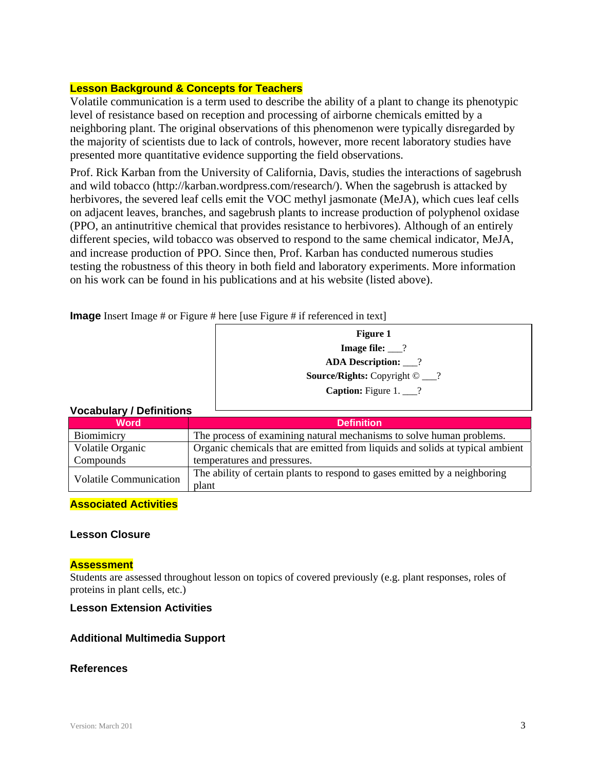## **Lesson Background & Concepts for Teachers**

Volatile communication is a term used to describe the ability of a plant to change its phenotypic level of resistance based on reception and processing of airborne chemicals emitted by a neighboring plant. The original observations of this phenomenon were typically disregarded by the majority of scientists due to lack of controls, however, more recent laboratory studies have presented more quantitative evidence supporting the field observations.

Prof. Rick Karban from the University of California, Davis, studies the interactions of sagebrush and wild tobacco (http://karban.wordpress.com/research/). When the sagebrush is attacked by herbivores, the severed leaf cells emit the VOC methyl jasmonate (MeJA), which cues leaf cells on adjacent leaves, branches, and sagebrush plants to increase production of polyphenol oxidase (PPO, an antinutritive chemical that provides resistance to herbivores). Although of an entirely different species, wild tobacco was observed to respond to the same chemical indicator, MeJA, and increase production of PPO. Since then, Prof. Karban has conducted numerous studies testing the robustness of this theory in both field and laboratory experiments. More information on his work can be found in his publications and at his website (listed above).

**Image** Insert Image # or Figure # here [use Figure # if referenced in text]

| <b>Figure 1</b>                             |
|---------------------------------------------|
| Image file: $\frac{?}{?}$                   |
| <b>ADA Description:</b> 1                   |
| <b>Source/Rights:</b> Copyright $\odot$ __? |
| <b>Caption:</b> Figure 1. $\_\$ ?           |

# **Vocabulary / Definitions**

| VOCADUIAI V / DENINIUSIIS     |                                                                                     |
|-------------------------------|-------------------------------------------------------------------------------------|
| <b>Word</b>                   | <b>Definition</b>                                                                   |
| Biomimicry                    | The process of examining natural mechanisms to solve human problems.                |
| Volatile Organic              | Organic chemicals that are emitted from liquids and solids at typical ambient       |
| Compounds                     | temperatures and pressures.                                                         |
| <b>Volatile Communication</b> | The ability of certain plants to respond to gases emitted by a neighboring<br>plant |

## **Associated Activities**

## **Lesson Closure**

#### **Assessment**

Students are assessed throughout lesson on topics of covered previously (e.g. plant responses, roles of proteins in plant cells, etc.)

## **Lesson Extension Activities**

## **Additional Multimedia Support**

#### **References**